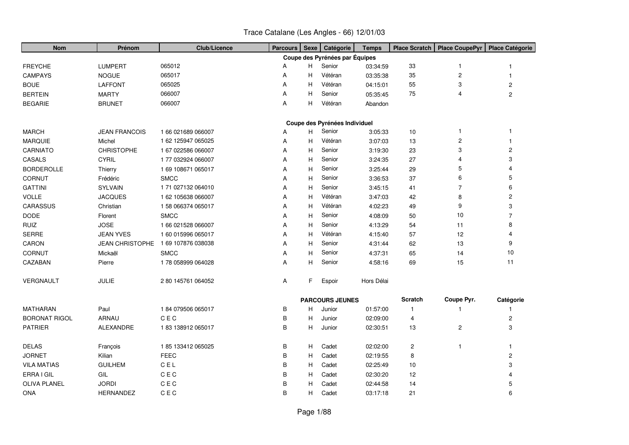| <b>Nom</b>           | Prénom                 | <b>Club/Licence</b> | <b>Parcours</b> | <b>Sexe</b> | Catégorie                      | <b>Temps</b> | <b>Place Scratch</b>    | <b>Place CoupePyr</b>   | <b>Place Catégorie</b> |
|----------------------|------------------------|---------------------|-----------------|-------------|--------------------------------|--------------|-------------------------|-------------------------|------------------------|
|                      |                        |                     |                 |             | Coupe des Pyrénées par Équipes |              |                         |                         |                        |
| <b>FREYCHE</b>       | <b>LUMPERT</b>         | 065012              | Α               | H           | Senior                         | 03:34:59     | 33                      | 1                       | 1                      |
| <b>CAMPAYS</b>       | <b>NOGUE</b>           | 065017              | Α               | н           | Vétéran                        | 03:35:38     | 35                      | $\overline{\mathbf{c}}$ | -1                     |
| <b>BOUE</b>          | <b>LAFFONT</b>         | 065025              | A               | н           | Vétéran                        | 04:15:01     | 55                      | 3                       | $\overline{c}$         |
| <b>BERTEIN</b>       | <b>MARTY</b>           | 066007              | A               | Н           | Senior                         | 05:35:45     | 75                      | 4                       | $\overline{2}$         |
| <b>BEGARIE</b>       | <b>BRUNET</b>          | 066007              | Α               | н           | Vétéran                        | Abandon      |                         |                         |                        |
|                      |                        |                     |                 |             |                                |              |                         |                         |                        |
|                      |                        |                     |                 |             | Coupe des Pyrénées Individuel  |              |                         |                         | $\overline{1}$         |
| <b>MARCH</b>         | <b>JEAN FRANCOIS</b>   | 1 66 021 689 066007 | A               | H.          | Senior                         | 3:05:33      | 10                      | $\mathbf{1}$            |                        |
| <b>MARQUIE</b>       | Michel                 | 1 62 125947 065025  | A               | н           | Vétéran                        | 3:07:03      | 13                      | $\overline{c}$          | $\mathbf 1$            |
| CARNIATO             | <b>CHRISTOPHE</b>      | 1 67 022586 066007  | A               | H           | Senior                         | 3:19:30      | 23                      | 3                       | $\overline{c}$         |
| <b>CASALS</b>        | <b>CYRIL</b>           | 177 032924 066007   | A               | н           | Senior                         | 3:24:35      | 27                      | 4                       | 3                      |
| <b>BORDEROLLE</b>    | Thierry                | 1 69 108671 065017  | Α               | Н           | Senior                         | 3:25:44      | 29                      | 5                       | 4                      |
| CORNUT               | Frédéric               | <b>SMCC</b>         | Α               | H           | Senior                         | 3:36:53      | 37                      | 6                       | 5                      |
| <b>GATTINI</b>       | <b>SYLVAIN</b>         | 1 71 027132 064010  | Α               | H           | Senior                         | 3:45:15      | 41                      | $\overline{7}$          | 6                      |
| <b>VOLLE</b>         | <b>JACQUES</b>         | 1 62 105638 066007  | Α               | H           | Vétéran                        | 3:47:03      | 42                      | 8                       | $\overline{c}$         |
| CARASSUS             | Christian              | 158 066374 065017   | Α               | Н           | Vétéran                        | 4:02:23      | 49                      | 9                       | 3                      |
| <b>DODE</b>          | Florent                | <b>SMCC</b>         | Α               | Н           | Senior                         | 4:08:09      | 50                      | 10                      | $\overline{7}$         |
| <b>RUIZ</b>          | <b>JOSE</b>            | 1 66 021528 066007  | Α               | Н           | Senior                         | 4:13:29      | 54                      | 11                      | 8                      |
| SERRE                | <b>JEAN YVES</b>       | 1 60 015996 065017  | Α               | н           | Vétéran                        | 4:15:40      | 57                      | 12                      | 4                      |
| CARON                | <b>JEAN CHRISTOPHE</b> | 169 107876 038038   | A               | H           | Senior                         | 4:31:44      | 62                      | 13                      | 9                      |
| <b>CORNUT</b>        | Mickaël                | <b>SMCC</b>         | Α               | H           | Senior                         | 4:37:31      | 65                      | 14                      | 10                     |
| CAZABAN              | Pierre                 | 178 058999 064028   | A               | Н           | Senior                         | 4:58:16      | 69                      | 15                      | 11                     |
| VERGNAULT            | JULIE                  | 2 80 145761 064052  | Α               | F.          | Espoir                         | Hors Délai   |                         |                         |                        |
|                      |                        |                     |                 |             | <b>PARCOURS JEUNES</b>         |              | <b>Scratch</b>          | Coupe Pyr.              | Catégorie              |
| <b>MATHARAN</b>      | Paul                   | 184 079506 065017   | в               | H.          | Junior                         | 01:57:00     | $\mathbf{1}$            | -1                      |                        |
| <b>BORONAT RIGOL</b> | ARNAU                  | C E C               | B               | н           | Junior                         | 02:09:00     | 4                       |                         | $\overline{c}$         |
| <b>PATRIER</b>       | ALEXANDRE              | 183 138912 065017   | B               | H           | Junior                         | 02:30:51     | 13                      | $\overline{2}$          | 3                      |
| <b>DELAS</b>         | François               | 185 133412 065025   | B               | H           | Cadet                          | 02:02:00     | $\overline{\mathbf{c}}$ | $\overline{1}$          | -1                     |
| <b>JORNET</b>        | Kilian                 | <b>FEEC</b>         | B               | H           | Cadet                          | 02:19:55     | 8                       |                         | $\overline{c}$         |
| <b>VILA MATIAS</b>   | <b>GUILHEM</b>         | C E L               | B               | н           | Cadet                          | 02:25:49     | 10                      |                         | 3                      |
| ERRA I GIL           | GIL                    | $C \nE C$           | B               | н           | Cadet                          | 02:30:20     | 12                      |                         |                        |
| <b>OLIVA PLANEL</b>  | <b>JORDI</b>           | $C \nE C$           | B               | н           | Cadet                          | 02:44:58     | 14                      |                         | 5                      |
| <b>ONA</b>           | <b>HERNANDEZ</b>       | C E C               | B               | H.          | Cadet                          | 03:17:18     | 21                      |                         | 6                      |

## Trace Catalane (Les Angles - 66) 12/01/03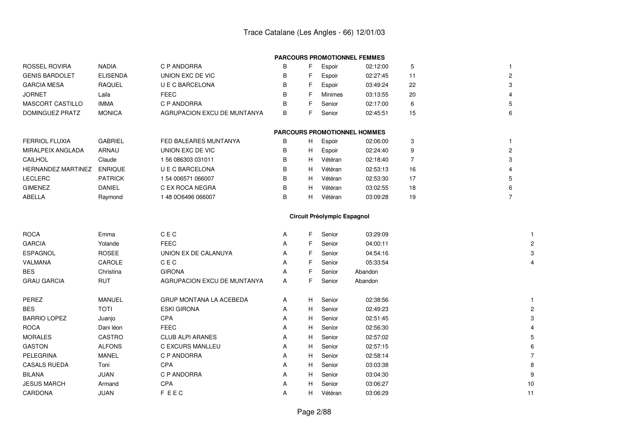|  | <b>PARCOURS PROMOTIONNEL FEMMES</b> |  |
|--|-------------------------------------|--|
|--|-------------------------------------|--|

| ROSSEL ROVIRA         | <b>NADIA</b>    | C P ANDORRA                 | В | Espoir  | 02:12:00 |    |               |
|-----------------------|-----------------|-----------------------------|---|---------|----------|----|---------------|
| <b>GENIS BARDOLET</b> | <b>ELISENDA</b> | UNION EXC DE VIC            | В | Espoir  | 02:27:45 | 11 | $\mathcal{D}$ |
| <b>GARCIA MESA</b>    | <b>RAQUEL</b>   | U E C BARCELONA             | В | Espoir  | 03:49:24 | 22 | 3             |
| <b>JORNET</b>         | Laila           | FEEC                        | В | Minimes | 03:13:55 | 20 |               |
| MASCORT CASTILLO      | <b>IMMA</b>     | C P ANDORRA                 | В | Senior  | 02:17:00 | 6  | 5             |
| DOMINGUEZ PRATZ       | <b>MONICA</b>   | AGRUPACION EXCU DE MUNTANYA | В | Senior  | 02:45:51 | 15 | 6             |
|                       |                 |                             |   |         |          |    |               |

| <b>FERRIOL FLUXIA</b> | <b>GABRIEL</b> | FED BALEARES MUNTANYA | B |
|-----------------------|----------------|-----------------------|---|
| MIRALPEIX ANGLADA     | ARNAU          | UNION EXC DE VIC      | В |
| <b>CAILHOL</b>        | Claude         | 156 086303 031011     | В |
| HERNANDEZ MARTINEZ    | <b>ENRIQUE</b> | U E C BARCELONA       | В |
| <b>LECLERC</b>        | <b>PATRICK</b> | 1 54 006571 066007    | B |
| <b>GIMENEZ</b>        | <b>DANIEL</b>  | C EX ROCA NEGRA       | B |
| ABELLA                | Raymond        | 148 006496 066007     | В |
|                       |                |                       |   |

| <b>PARCOURS PROMOTIONNEL HOMMES</b> |  |  |  |
|-------------------------------------|--|--|--|
|-------------------------------------|--|--|--|

| OL FLUXIA      | <b>GABRIEL</b> | FED BALEARES MUNTANYA | в | н | Espoir  | 02:06:00 |    |  |
|----------------|----------------|-----------------------|---|---|---------|----------|----|--|
| PEIX ANGLADA   | ARNAU          | UNION EXC DE VIC      | в | н | Espoir  | 02:24:40 |    |  |
| JL             | Claude         | 156 086303 031011     | в |   | Vétéran | 02:18:40 |    |  |
| ANDEZ MARTINEZ | <b>ENRIQUE</b> | U E C BARCELONA       | в | н | Vétéran | 02:53:13 | 16 |  |
| RC.            | <b>PATRICK</b> | 154 006571 066007     | в | н | Vétéran | 02:53:30 |    |  |
| IEZ            | <b>DANIEL</b>  | C EX ROCA NEGRA       | в | н | Vétéran | 03:02:55 | 18 |  |
|                | Raymond        | 48 0O6496 066007      | В |   | Vétéran | 03:09:28 | 19 |  |

## **Circuit Préolympic Espagnol**

| <b>ROCA</b>         | Emma          | CEC                            | A | F. | Senior  | 03:29:09 |                |
|---------------------|---------------|--------------------------------|---|----|---------|----------|----------------|
| <b>GARCIA</b>       | Yolande       | <b>FEEC</b>                    | A | F. | Senior  | 04:00:11 | $\overline{c}$ |
| <b>ESPAGNOL</b>     | <b>ROSEE</b>  | UNION EX DE CALANUYA           | A | F. | Senior  | 04:54:16 | 3              |
| VALMANA             | CAROLE        | CEC                            | A |    | Senior  | 05:33:54 | 4              |
| <b>BES</b>          | Christina     | <b>GIRONA</b>                  | A |    | Senior  | Abandon  |                |
| <b>GRAU GARCIA</b>  | <b>RUT</b>    | AGRUPACION EXCU DE MUNTANYA    | A |    | Senior  | Abandon  |                |
| PEREZ               | MANUEL        | <b>GRUP MONTANA LA ACEBEDA</b> | A | H  | Senior  | 02:38:56 |                |
| <b>BES</b>          | TOTI          | <b>ESKI GIRONA</b>             | A | H  | Senior  | 02:49:23 | $\overline{2}$ |
| <b>BARRIO LOPEZ</b> | Juanjo        | <b>CPA</b>                     | A | H  | Senior  | 02:51:45 | 3              |
| <b>ROCA</b>         | Dani léon     | <b>FEEC</b>                    | A | H  | Senior  | 02:56:30 |                |
| <b>MORALES</b>      | CASTRO        | <b>CLUB ALPI ARANES</b>        | A | H  | Senior  | 02:57:02 | 5              |
| <b>GASTON</b>       | <b>ALFONS</b> | C EXCURS MANLLEU               | A | H  | Senior  | 02:57:15 | 6              |
| PELEGRINA           | MANEL         | C P ANDORRA                    | A | H  | Senior  | 02:58:14 |                |
| <b>CASALS RUEDA</b> | Toni          | <b>CPA</b>                     | A | H  | Senior  | 03:03:38 | 8              |
| <b>BILANA</b>       | JUAN          | C P ANDORRA                    | A | H  | Senior  | 03:04:30 | 9              |
| <b>JESUS MARCH</b>  | Armand        | <b>CPA</b>                     | A | H. | Senior  | 03:06:27 | 10             |
| CARDONA             | JUAN          | <b>FEEC</b>                    | A | H. | Vétéran | 03:06:29 | 11             |
|                     |               |                                |   |    |         |          |                |